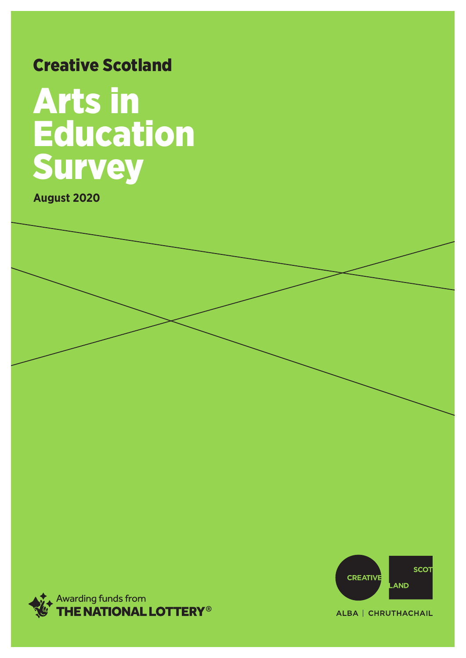### Creative Scotland

### Arts in **Education** Survey

**August 2020**





ALBA | CHRUTHACHAIL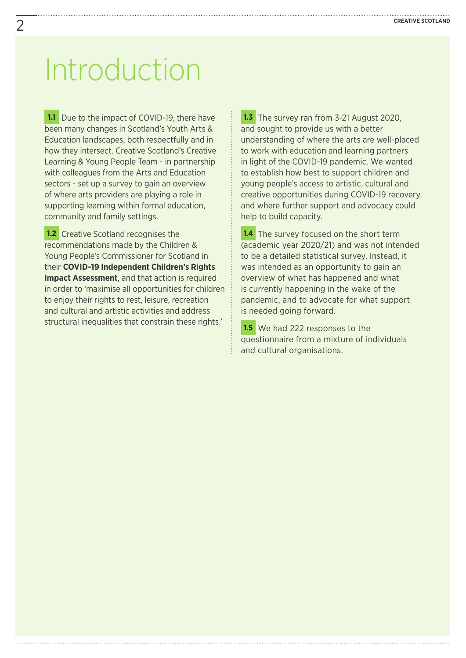### Introduction

**1.1** Due to the impact of COVID-19, there have been many changes in Scotland's Youth Arts & Education landscapes, both respectfully and in how they intersect. Creative Scotland's Creative Learning & Young People Team - in partnership with colleagues from the Arts and Education sectors - set up a survey to gain an overview of where arts providers are playing a role in supporting learning within formal education, community and family settings.

**1.2** Creative Scotland recognises the recommendations made by the Children & Young People's Commissioner for Scotland in their **[COVID-19 Independent Children's Rights](https://cypcs.org.uk/coronavirus/independent-impact-assessment/)  [Impact Assessment](https://cypcs.org.uk/coronavirus/independent-impact-assessment/)**, and that action is required in order to 'maximise all opportunities for children to enjoy their rights to rest, leisure, recreation and cultural and artistic activities and address structural inequalities that constrain these rights.'

**1.3** The survey ran from 3-21 August 2020, and sought to provide us with a better understanding of where the arts are well-placed to work with education and learning partners in light of the COVID-19 pandemic. We wanted to establish how best to support children and young people's access to artistic, cultural and creative opportunities during COVID-19 recovery, and where further support and advocacy could help to build capacity.

**1.4** The survey focused on the short term (academic year 2020/21) and was not intended to be a detailed statistical survey. Instead, it was intended as an opportunity to gain an overview of what has happened and what is currently happening in the wake of the pandemic, and to advocate for what support is needed going forward.

1.5 We had 222 responses to the questionnaire from a mixture of individuals and cultural organisations.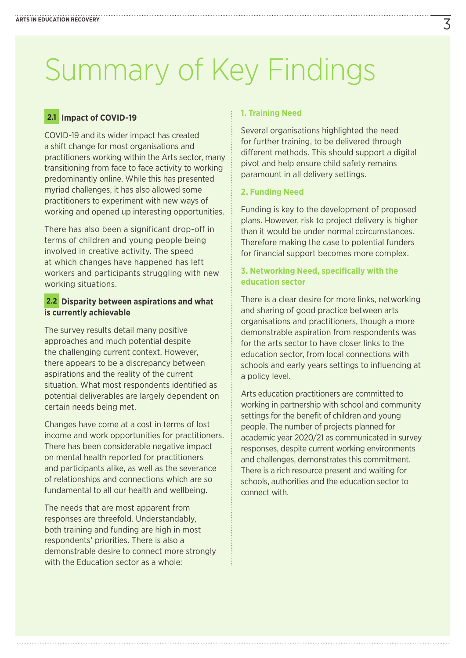### Summary of Key Findings

### **2.1 Impact of COVID-19**

COVID-19 and its wider impact has created a shift change for most organisations and practitioners working within the Arts sector, many transitioning from face to face activity to working predominantly online. While this has presented myriad challenges, it has also allowed some practitioners to experiment with new ways of working and opened up interesting opportunities.

There has also been a significant drop-off in terms of children and young people being involved in creative activity. The speed at which changes have happened has left workers and participants struggling with new working situations.

### **2.2 Disparity between aspirations and what is currently achievable**

The survey results detail many positive approaches and much potential despite the challenging current context. However, there appears to be a discrepancy between aspirations and the reality of the current situation. What most respondents identified as potential deliverables are largely dependent on certain needs being met.

Changes have come at a cost in terms of lost income and work opportunities for practitioners. There has been considerable negative impact on mental health reported for practitioners and participants alike, as well as the severance of relationships and connections which are so fundamental to all our health and wellbeing.

The needs that are most apparent from responses are threefold. Understandably, both training and funding are high in most respondents' priorities. There is also a demonstrable desire to connect more strongly with the Education sector as a whole:

#### **1. Training Need**

Several organisations highlighted the need for further training, to be delivered through different methods. This should support a digital pivot and help ensure child safety remains paramount in all delivery settings.

#### **2. Funding Need**

Funding is key to the development of proposed plans. However, risk to project delivery is higher than it would be under normal ccircumstances. Therefore making the case to potential funders for financial support becomes more complex.

### **3. Networking Need, specifically with the education sector**

There is a clear desire for more links, networking and sharing of good practice between arts organisations and practitioners, though a more demonstrable aspiration from respondents was for the arts sector to have closer links to the education sector, from local connections with schools and early years settings to influencing at a policy level.

Arts education practitioners are committed to working in partnership with school and community settings for the benefit of children and young people. The number of projects planned for academic year 2020/21 as communicated in survey responses, despite current working environments and challenges, demonstrates this commitment. There is a rich resource present and waiting for schools, authorities and the education sector to connect with.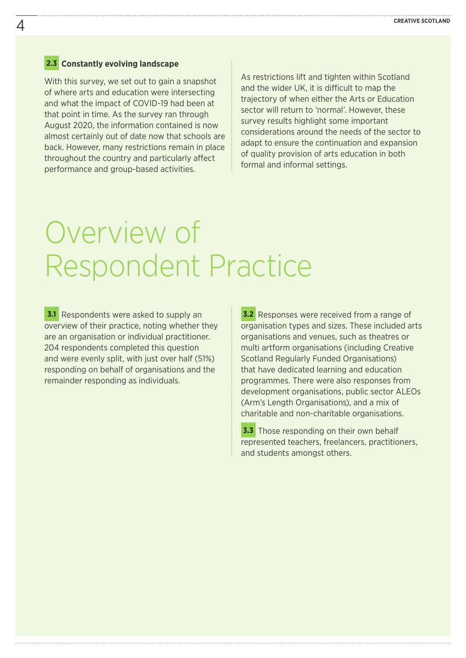#### **2.3 Constantly evolving landscape**

With this survey, we set out to gain a snapshot of where arts and education were intersecting and what the impact of COVID-19 had been at that point in time. As the survey ran through August 2020, the information contained is now almost certainly out of date now that schools are back. However, many restrictions remain in place throughout the country and particularly affect performance and group-based activities.

As restrictions lift and tighten within Scotland and the wider UK, it is difficult to map the trajectory of when either the Arts or Education sector will return to 'normal'. However, these survey results highlight some important considerations around the needs of the sector to adapt to ensure the continuation and expansion of quality provision of arts education in both formal and informal settings.

### Overview of Respondent Practice

**3.1** Respondents were asked to supply an overview of their practice, noting whether they are an organisation or individual practitioner. 204 respondents completed this question and were evenly split, with just over half (51%) responding on behalf of organisations and the remainder responding as individuals.

**3.2** Responses were received from a range of organisation types and sizes. These included arts organisations and venues, such as theatres or multi artform organisations (including Creative Scotland Regularly Funded Organisations) that have dedicated learning and education programmes. There were also responses from development organisations, public sector ALEOs (Arm's Length Organisations), and a mix of charitable and non-charitable organisations.

**3.3** Those responding on their own behalf represented teachers, freelancers, practitioners, and students amongst others.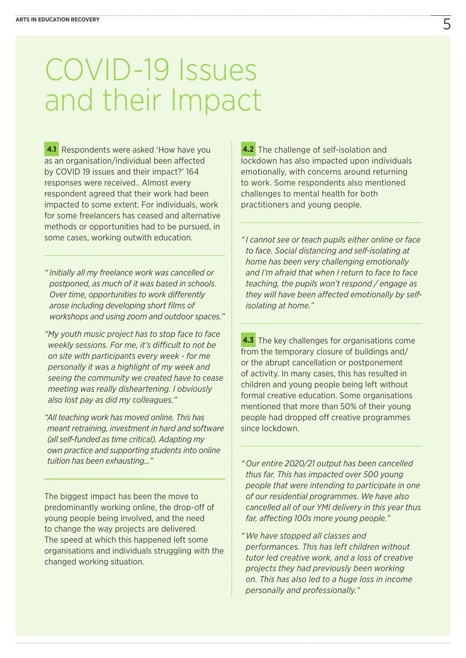# COVID-19 Issues and their Impact

**4.1** Respondents were asked 'How have you as an organisation/individual been affected by COVID 19 issues and their impact?' 164 responses were received.. Almost every respondent agreed that their work had been impacted to some extent. For individuals, work for some freelancers has ceased and alternative methods or opportunities had to be pursued, in some cases, working outwith education.

*" Initially all my freelance work was cancelled or postponed, as much of it was based in schools. Over time, opportunities to work differently arose including developing short films of workshops and using zoom and outdoor spaces."*

*"My youth music project has to stop face to face weekly sessions. For me, it's difficult to not be on site with participants every week - for me personally it was a highlight of my week and seeing the community we created have to cease meeting was really disheartening. I obviously also lost pay as did my colleagues."*

*"All teaching work has moved online. This has meant retraining, investment in hard and software (all self-funded as time critical). Adapting my own practice and supporting students into online tuition has been exhausting…"*

The biggest impact has been the move to predominantly working online, the drop-off of young people being involved, and the need to change the way projects are delivered. The speed at which this happened left some organisations and individuals struggling with the changed working situation.

**4.2** The challenge of self-isolation and lockdown has also impacted upon individuals emotionally, with concerns around returning to work. Some respondents also mentioned challenges to mental health for both practitioners and young people.

*" I cannot see or teach pupils either online or face to face. Social distancing and self-isolating at home has been very challenging emotionally and I'm afraid that when I return to face to face teaching, the pupils won't respond / engage as they will have been affected emotionally by selfisolating at home."*

**4.3** The key challenges for organisations come from the temporary closure of buildings and/ or the abrupt cancellation or postponement of activity. In many cases, this has resulted in children and young people being left without formal creative education. Some organisations mentioned that more than 50% of their young people had dropped off creative programmes since lockdown.

*" Our entire 2020/21 output has been cancelled thus far. This has impacted over 500 young people that were intending to participate in one of our residential programmes. We have also cancelled all of our YMI delivery in this year thus far, affecting 100s more young people."*

*" We have stopped all classes and performances. This has left children without tutor led creative work, and a loss of creative projects they had previously been working on. This has also led to a huge loss in income personally and professionally."*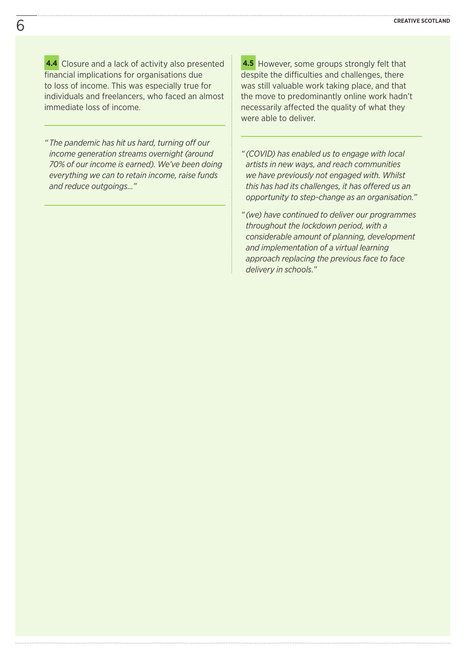**4.4** Closure and a lack of activity also presented financial implications for organisations due to loss of income. This was especially true for individuals and freelancers, who faced an almost immediate loss of income.

*" The pandemic has hit us hard, turning off our income generation streams overnight (around 70% of our income is earned). We've been doing everything we can to retain income, raise funds and reduce outgoings…"*

**4.5** However, some groups strongly felt that despite the difficulties and challenges, there was still valuable work taking place, and that the move to predominantly online work hadn't necessarily affected the quality of what they were able to deliver.

- *" (COVID) has enabled us to engage with local artists in new ways, and reach communities we have previously not engaged with. Whilst this has had its challenges, it has offered us an opportunity to step-change as an organisation."*
- *" (we) have continued to deliver our programmes throughout the lockdown period, with a considerable amount of planning, development and implementation of a virtual learning approach replacing the previous face to face delivery in schools."*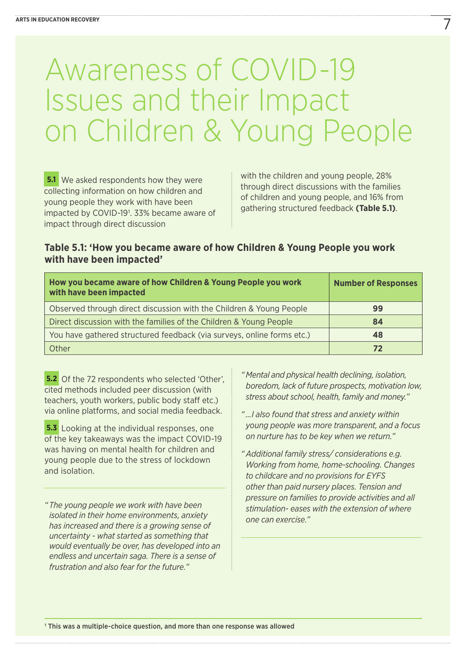## Awareness of COVID-19<br>Issues and their Impact on Children & Young People

**5.1** We asked respondents how they were collecting information on how children and young people they work with have been impacted by COVID-191. 33% became aware of impact through direct discussion

with the children and young people, 28% through direct discussions with the families of children and young people, and 16% from gathering structured feedback **(Table 5.1)**.

### **Table 5.1: 'How you became aware of how Children & Young People you work with have been impacted'**

| How you became aware of how Children & Young People you work<br>with have been impacted | <b>Number of Responses</b> |
|-----------------------------------------------------------------------------------------|----------------------------|
| Observed through direct discussion with the Children & Young People                     | 99                         |
| Direct discussion with the families of the Children & Young People                      | 84                         |
| You have gathered structured feedback (via surveys, online forms etc.)                  | 48                         |
| Other                                                                                   | 72                         |

**5.2** Of the 72 respondents who selected 'Other', cited methods included peer discussion (with teachers, youth workers, public body staff etc.) via online platforms, and social media feedback.

**5.3** Looking at the individual responses, one of the key takeaways was the impact COVID-19 was having on mental health for children and young people due to the stress of lockdown and isolation.

*" The young people we work with have been isolated in their home environments, anxiety has increased and there is a growing sense of uncertainty - what started as something that would eventually be over, has developed into an endless and uncertain saga. There is a sense of frustration and also fear for the future."*

- *" Mental and physical health declining, isolation, boredom, lack of future prospects, motivation low, stress about school, health, family and money."*
- *" …I also found that stress and anxiety within young people was more transparent, and a focus on nurture has to be key when we return."*
- *" Additional family stress/ considerations e.g. Working from home, home-schooling. Changes to childcare and no provisions for EYFS other than paid nursery places. Tension and pressure on families to provide activities and all stimulation- eases with the extension of where one can exercise."*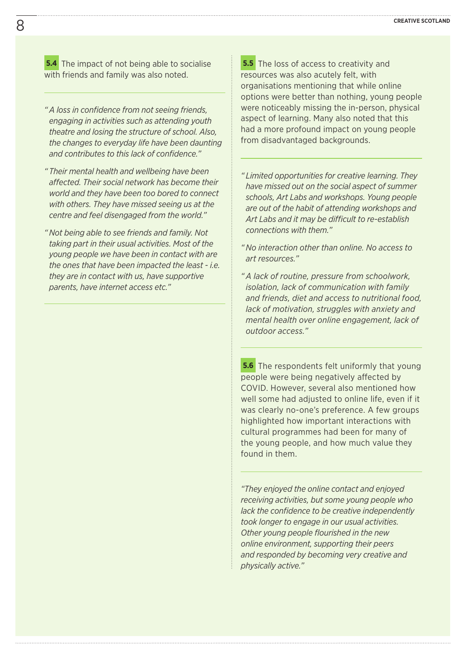**5.4** The impact of not being able to socialise with friends and family was also noted.

- *" A loss in confidence from not seeing friends, engaging in activities such as attending youth theatre and losing the structure of school. Also, the changes to everyday life have been daunting and contributes to this lack of confidence."*
- *" Their mental health and wellbeing have been affected. Their social network has become their world and they have been too bored to connect with others. They have missed seeing us at the centre and feel disengaged from the world."*
- *" Not being able to see friends and family. Not taking part in their usual activities. Most of the young people we have been in contact with are the ones that have been impacted the least - i.e. they are in contact with us, have supportive parents, have internet access etc."*

**5.5** The loss of access to creativity and resources was also acutely felt, with organisations mentioning that while online options were better than nothing, young people were noticeably missing the in-person, physical aspect of learning. Many also noted that this had a more profound impact on young people from disadvantaged backgrounds.

- *" Limited opportunities for creative learning. They have missed out on the social aspect of summer schools, Art Labs and workshops. Young people are out of the habit of attending workshops and Art Labs and it may be difficult to re-establish connections with them."*
- *" No interaction other than online. No access to art resources."*
- *" A lack of routine, pressure from schoolwork, isolation, lack of communication with family and friends, diet and access to nutritional food, lack of motivation, struggles with anxiety and mental health over online engagement, lack of outdoor access."*

**5.6** The respondents felt uniformly that young people were being negatively affected by COVID. However, several also mentioned how well some had adjusted to online life, even if it was clearly no-one's preference. A few groups highlighted how important interactions with cultural programmes had been for many of the young people, and how much value they found in them.

*"They enjoyed the online contact and enjoyed receiving activities, but some young people who lack the confidence to be creative independently took longer to engage in our usual activities. Other young people flourished in the new online environment, supporting their peers and responded by becoming very creative and physically active."*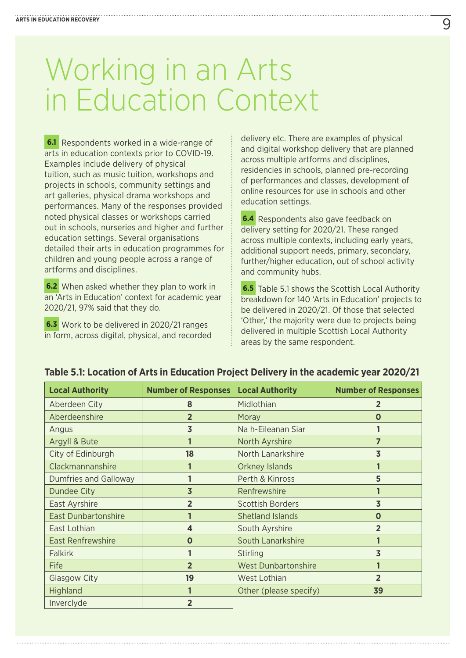# Working in an Arts<br>in Education Context

**6.1** Respondents worked in a wide-range of arts in education contexts prior to COVID-19. Examples include delivery of physical tuition, such as music tuition, workshops and projects in schools, community settings and art galleries, physical drama workshops and performances. Many of the responses provided noted physical classes or workshops carried out in schools, nurseries and higher and further education settings. Several organisations detailed their arts in education programmes for children and young people across a range of artforms and disciplines.

**6.2** When asked whether they plan to work in an 'Arts in Education' context for academic year 2020/21, 97% said that they do.

**6.3** Work to be delivered in 2020/21 ranges in form, across digital, physical, and recorded delivery etc. There are examples of physical and digital workshop delivery that are planned across multiple artforms and disciplines, residencies in schools, planned pre-recording of performances and classes, development of online resources for use in schools and other education settings.

**6.4** Respondents also gave feedback on delivery setting for 2020/21. These ranged across multiple contexts, including early years, additional support needs, primary, secondary, further/higher education, out of school activity and community hubs.

**6.5** Table 5.1 shows the Scottish Local Authority breakdown for 140 'Arts in Education' projects to be delivered in 2020/21. Of those that selected 'Other,' the majority were due to projects being delivered in multiple Scottish Local Authority areas by the same respondent.

| <b>Local Authority</b>       | <b>Number of Responses</b> | <b>Local Authority</b>     | <b>Number of Responses</b> |
|------------------------------|----------------------------|----------------------------|----------------------------|
| Aberdeen City                | 8                          | Midlothian                 | 2                          |
| Aberdeenshire                | $\overline{2}$             | Moray                      | O                          |
| Angus                        | $\overline{3}$             | Na h-Eileanan Siar         |                            |
| Argyll & Bute                |                            | North Ayrshire             | 7                          |
| City of Edinburgh            | 18                         | North Lanarkshire          | $\overline{\mathbf{3}}$    |
| Clackmannanshire             |                            | <b>Orkney Islands</b>      |                            |
| <b>Dumfries and Galloway</b> |                            | Perth & Kinross            | 5                          |
| Dundee City                  | $\overline{3}$             | Renfrewshire               |                            |
| East Ayrshire                | $\overline{2}$             | <b>Scottish Borders</b>    | $\overline{3}$             |
| <b>East Dunbartonshire</b>   |                            | <b>Shetland Islands</b>    | $\mathbf 0$                |
| East Lothian                 | $\overline{\mathbf{A}}$    | South Ayrshire             | $\overline{2}$             |
| <b>East Renfrewshire</b>     | $\Omega$                   | South Lanarkshire          |                            |
| <b>Falkirk</b>               |                            | <b>Stirling</b>            | $\overline{\mathbf{3}}$    |
| Fife                         | $\overline{2}$             | <b>West Dunbartonshire</b> |                            |
| <b>Glasgow City</b>          | 19                         | West Lothian               | $\overline{2}$             |
| Highland                     |                            | Other (please specify)     | 39                         |
| Inverclyde                   | $\overline{2}$             |                            |                            |

### **Table 5.1: Location of Arts in Education Project Delivery in the academic year 2020/21**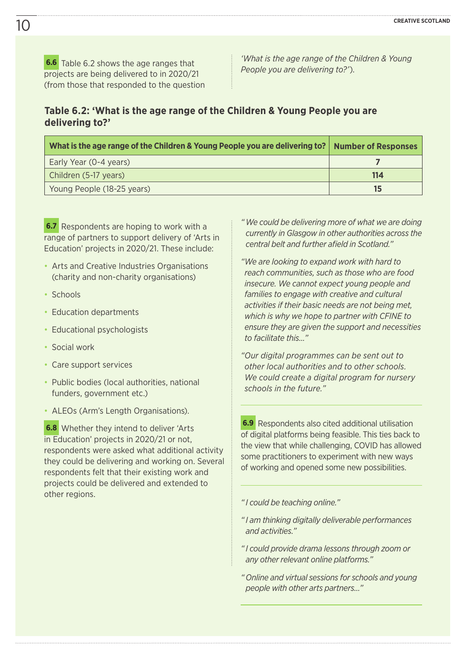**6.6** Table 6.2 shows the age ranges that projects are being delivered to in 2020/21 (from those that responded to the question *'What is the age range of the Children & Young People you are delivering to?'*).

### **Table 6.2: 'What is the age range of the Children & Young People you are delivering to?'**

| What is the age range of the Children & Young People you are delivering to?   Number of Responses |     |
|---------------------------------------------------------------------------------------------------|-----|
| Early Year (0-4 years)                                                                            |     |
| Children (5-17 years)                                                                             | 114 |
| Young People (18-25 years)                                                                        | 15  |

**6.7** Respondents are hoping to work with a range of partners to support delivery of 'Arts in Education' projects in 2020/21. These include:

- Arts and Creative Industries Organisations (charity and non-charity organisations)
- Schools
- Education departments
- Educational psychologists
- Social work
- Care support services
- Public bodies (local authorities, national funders, government etc.)
- ALEOs (Arm's Length Organisations).

**6.8** Whether they intend to deliver 'Arts in Education' projects in 2020/21 or not, respondents were asked what additional activity they could be delivering and working on. Several respondents felt that their existing work and projects could be delivered and extended to other regions.

- *" We could be delivering more of what we are doing currently in Glasgow in other authorities across the central belt and further afield in Scotland."*
- *"We are looking to expand work with hard to reach communities, such as those who are food insecure. We cannot expect young people and families to engage with creative and cultural activities if their basic needs are not being met, which is why we hope to partner with CFINE to ensure they are given the support and necessities to facilitate this…"*

*"Our digital programmes can be sent out to other local authorities and to other schools. We could create a digital program for nursery schools in the future."*

**6.9** Respondents also cited additional utilisation of digital platforms being feasible. This ties back to the view that while challenging, COVID has allowed some practitioners to experiment with new ways of working and opened some new possibilities.

*" I could be teaching online."*

*" I am thinking digitally deliverable performances and activities."*

*" I could provide drama lessons through zoom or any other relevant online platforms."*

*" Online and virtual sessions for schools and young people with other arts partners…"*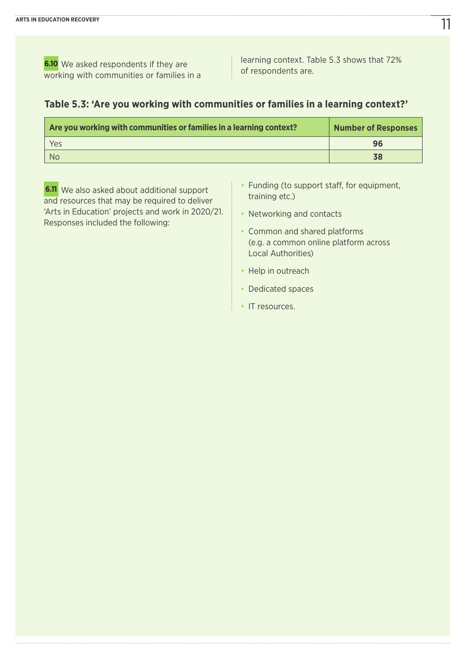**6.10** We asked respondents if they are working with communities or families in a learning context. Table 5.3 shows that 72% of respondents are.

### **Table 5.3: 'Are you working with communities or families in a learning context?'**

| Are you working with communities or families in a learning context? | <b>Number of Responses</b> |
|---------------------------------------------------------------------|----------------------------|
| Yes                                                                 | 96                         |
| - No                                                                | 38                         |

**6.11** We also asked about additional support and resources that may be required to deliver 'Arts in Education' projects and work in 2020/21. Responses included the following:

- Funding (to support staff, for equipment, training etc.)
- Networking and contacts
- Common and shared platforms (e.g. a common online platform across Local Authorities)
- Help in outreach
- Dedicated spaces
- IT resources.